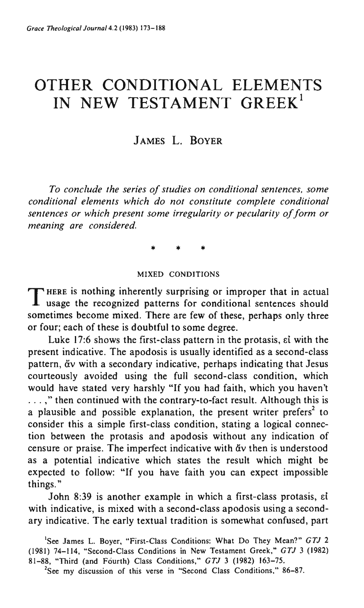# **OTHER CONDITIONAL ELEMENTS**  IN NEW TESTAMENT GREEK<sup>1</sup>

# JAMES L. BOYER

*To conclude the series of studies on conditional sentences, some conditional elements which do not constitute complete conditional sentences or which present some irregularity or pecularity of form or meaning are considered.* 

\* \* \*

#### MIXED CONDITIONS

T HERE is nothing inherently surprising or improper that in actual usage the recognized patterns for conditional sentences should sometimes become mixed. There are few of these, perhaps only three or four; each of these is doubtful to some degree.

Luke  $17:6$  shows the first-class pattern in the protasis,  $\epsilon i$  with the present indicative. The apodosis is usually identified as a second-class pattern,  $\ddot{\alpha}$  with a secondary indicative, perhaps indicating that Jesus courteously avoided using the full second-class condition, which would have stated very harshly "If you had faith, which you haven't . .. ," then continued with the contrary-to-fact result. Although this is a plausible and possible explanation, the present writer prefers<sup>2</sup> to consider this a simple first-class condition, stating a logical connection between the protasis and apodosis without any indication of censure or praise. The imperfect indicative with  $\ddot{\alpha}$  then is understood as a potential indicative which states the result which might be expected to follow: "If you have faith you can expect impossible things. "

John 8:39 is another example in which a first-class protasis, et with indicative, is mixed with a second-class apodosis using a secondary indicative. The early textual tradition is somewhat confused, part

<sup>1</sup>See James L. Boyer, "First-Class Conditions: What Do They Mean?" GTJ 2 (1981) 74-114, "Second-Class Conditions in New Testament Greek," GTJ 3 (1982) 81-88, "Third (and Fourth) Class Conditions," GTJ 3 (1982) 163-75.

 $2$ See my discussion of this verse in "Second Class Conditions," 86-87.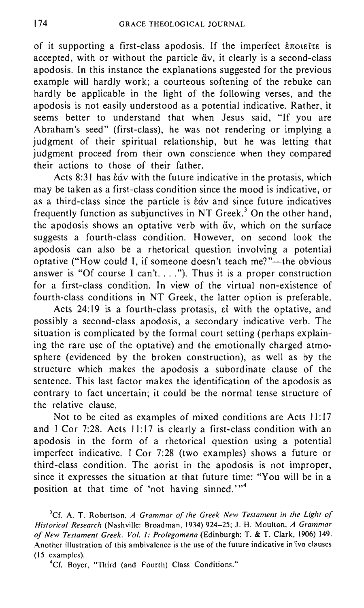of it supporting a first-class apodosis. If the imperfect  $\epsilon$   $\bar{\epsilon}$  rote is accepted, with or without the particle  $\ddot{\alpha}v$ , it clearly is a second-class apodosis. In this instance the explanations suggested for the previous example will hardly work; a courteous softening of the rebuke can hardly be applicable in the light of the following verses, and the apodosis is not easily understood as a potential indicative. Rather, it seems better to understand that when Jesus said, "If you are Abraham's seed" (first-class), he was not rendering or implying a judgment of their spiritual relationship, but he was letting that judgment proceed from their own conscience when they compared their actions to those of their father.

Acts 8:31 has  $\frac{2}{1}$  with the future indicative in the protasis, which may be taken as a first-class condition since the mood is indicative, or as a third-class since the particle is  $\&\&\alpha$  and since future indicatives frequently function as subjunctives in NT Greek.<sup>3</sup> On the other hand, the apodosis shows an optative verb with  ${\rm div}$ , which on the surface suggests a fourth-class condition. However, on second look the apodosis can also be a rhetorical question involving a potential optative ("How could I, if someone doesn't teach me?"--the obvious answer is "Of course I can't. ... "). Thus it is a proper construction for a first-class condition. In view of the virtual non-existence of fourth-class conditions in NT Greek, the latter option is preferable.

Acts 24:19 is a fourth-class protasis,  $\epsilon i$  with the optative, and possibly a second-class apodosis, a secondary indicative verb. The situation is complicated by the formal court setting (perhaps explaining the rare use of the optative) and the emotionally charged atmosphere (evidenced by the broken construction), as well as by the structure which makes the apodosis a subordinate clause of the sentence. This last factor makes the identification of the apodosis as contrary to fact uncertain; it could be the normal tense structure of the relative clause.

Not to be cited as examples of mixed conditions are Acts **II:** 17 and 1 Cor 7:28. Acts 11:17 is clearly a first-class condition with an apodosis in the form of a rhetorical question using a potential imperfect indicative. I Cor 7:28 (two examples) shows a future or third-class condition. The aorist in the apodosis is not improper, since it expresses the situation at that future time: "You will be in a position at that time of 'not having sinned.' $14$ 

3Cf. A. T. Robertson, *A Grammar of the Greek New Testament in the Light of Historical Research* (Nashville: Broad man, 1934) 924-25; J. H. Moulton, *A Grammar of New Testament Greek. Vol.* 1: *Prolegomena* (Edinburgh: T. & T. Clark, 1906) 149. Another illustration of this ambivalence is the use of the future indicative in  $i$ va clauses (15 examples).

4Cf. Boyer, "Third (and Fourth) Class Conditions."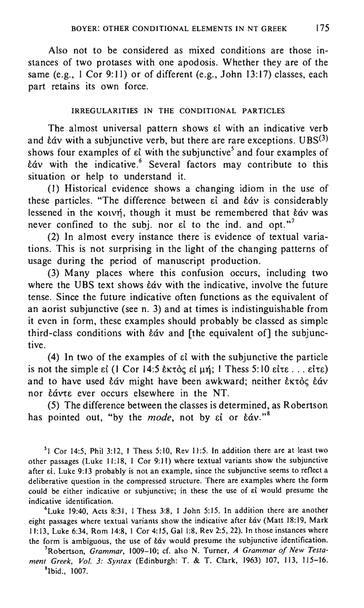Also not to be considered as mixed conditions are those instances of two protases with one apodosis. Whether they are of the same (e.g., 1 Cor 9:11) or of different (e.g., John 13:17) classes, each part retains its own force.

## IRREGULARITIES IN THE CONDITIONAL PARTICLES

The almost universal pattern shows  $\varepsilon$  with an indicative verb and  $\frac{2}{3}$  with a subjunctive verb, but there are rare exceptions. UBS<sup>(3)</sup> shows four examples of  $\epsilon\tilde{\epsilon}$  with the subjunctive<sup>5</sup> and four examples of  $\epsilon \dot{\alpha}$  with the indicative.<sup>6</sup> Several factors may contribute to this situation or help to understand it.

(1) Historical evidence shows a changing idiom in the use of these particles. "The difference between  $\varepsilon i$  and  $\varepsilon \dot{\alpha} v$  is considerably lessened in the  $kovn$ , though it must be remembered that  $\frac{kov}{2}$  was never confined to the subj. nor  $\varepsilon i$  to the ind. and opt."<sup>7</sup>

(2) In almost every instance there is evidence of textual variations. This is not surprising in the light of the changing patterns of usage during the period of manuscript production.

(3) Many places where this confusion occurs, including two where the UBS text shows  $\frac{2}{3}$  with the indicative, involve the future tense. Since the future indicative often functions as the equivalent of an aorist subjunctive (see n. 3) and at times is indistinguishable from it even in form, these examples should probably be classed as simple third-class conditions with  $\epsilon \dot{\alpha}$  and [the equivalent of] the subjunctive.

(4) In two of the examples of  $\epsilon i$  with the subjunctive the particle is not the simple  $\epsilon i$  (1 Cor 14:5  $\epsilon$ ktò $\zeta$   $\epsilon i$   $\mu$ n; 1 Thess 5:10  $\epsilon i$ t $\epsilon$ ...  $\epsilon i$ t $\epsilon$ ) and to have used  $\dot{\epsilon}$  ave might have been awkward; neither  $\dot{\epsilon}$   $\kappa \tau$   $\dot{\delta}$   $\epsilon$   $\dot{\epsilon}$   $\dot{\alpha}$  v nor *tavte* ever occurs elsewhere in the NT.

(5) The difference between the classes is determined, as Robertson has pointed out, "by the *mode*, not by  $\varepsilon i$  or  $\varepsilon \dot{\alpha} v$ ."<sup>8</sup>

 $51$  Cor 14:5, Phil 3:12, 1 Thess 5:10, Rev 11:5. In addition there are at least two other passages (Luke 11:18, I Cor 9:11) where textual variants show the subjunctive after  $\epsilon i$ . Luke 9:13 probably is not an example, since the subjunctive seems to reflect a deliberative question in the compressed structure. There are examples where the form could be either indicative or subjunctive; in these the use of al would presume the indicative identification.

6Luke 19:40, Acts 8:31, I Thess 3:8, I John 5:15. In addition there are another eight passages where textual variants show the indicative after Łáv (Matt 18:19, Mark 11:13, Luke 6:34, Rom 14:8, I Cor 4:15, Gal 1:8, Rev 2:5,22). In those instances where the form is ambiguous, the use of *k*áv would presume the subjunctive identification.

7Robertson, *Grammar,* 1009-10; cf. also N. Turner, *A Grammar of New Testament Greek. Vol.* 3: *Syntax* (Edinburgh: T. & T. Clark, 1963) 107, 113, 115-16. 8Ibid., 1007.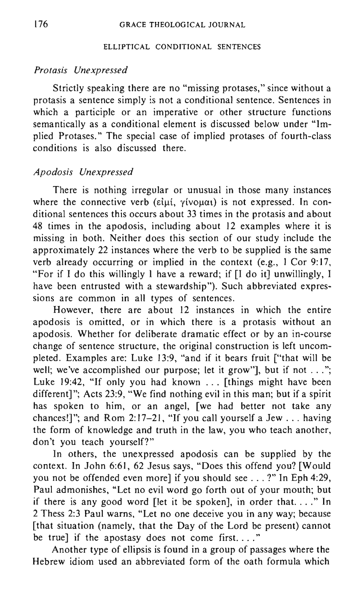#### ELLIPTICAL CONDITIONAL SENTENCES

### *Protasis Une xpressed*

Strictly speaking there are no "missing protases," since without a protasis a sentence simply is not a conditional sentence. Sentences in which a participle or an imperative or other structure functions semantically as a conditional element is discussed below under "Implied Protases." The special case of implied protases of fourth~class conditions is also discussed there.

## *Apodosis Unexpressed*

There is nothing irregular or unusual in those many instances where the connective verb ( $\varepsilon$ iµi,  $\gamma$ ivoµat) is not expressed. In conditional sentences this occurs about 33 times in the protasis and about 48 times in the apodosis, including about 12 examples where it is missing in both. Neither does this section of our study include the approximately 22 instances where the verb to be supplied is the same verb already occurring or implied in the context (e.g., 1 Cor 9:17, "For if I do this willingly I have a reward; if [I do it] unwillingly, I have been entrusted with a stewardship"). Such abbreviated expressions are common in all types of sentences.

However, there are about 12 instances in which the entire apodosis is omitted, or in which there is a protasis without an apodosis. Whether for deliberate dramatic effect or by an in-course change of sentence structure, the original construction is left uncompleted. Examples are: Luke 13:9, "and if it bears fruit ["that will be well; we've accomplished our purpose; let it grow"], but if not ..."; Luke 19:42, "If only you had known ... [things might have been different]"; Acts 23:9, "We find nothing evil in this man; but if a spirit has spoken to him, or an angel, [we had better not take any chances!]"; and Rom 2:17-21, "If you call yourself a Jew ... having the form of knowledge and truth in the law, you who teach another, don't you teach yourself?"

In others, the unexpressed apodosis can be supplied by the context. In John 6:61, 62 Jesus says, "Does this offend you? [Would you not be offended even more] if you should see ... ?" In Eph 4:29, Paul admonishes, "Let no evil word go forth out of your mouth; but if there is any good word [let it be spoken], in order that...." In 2 Thess 2:3 Paul warns, "Let no one deceive you in any way; because [that situation (namely, that the Day of the Lord be present) cannot be true] if the apostasy does not come first...."

Another type of ellipsis is found in a group of passages where the Hebrew idiom used an abbreviated form of the oath formula which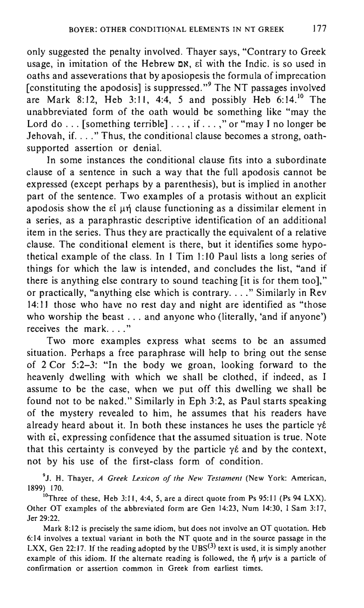only suggested the penalty involved. Thayer says, "Contrary to Greek usage, in imitation of the Hebrew אם, Et with the Indic. is so used in oaths and asseverations that by aposiopesis the formula of imprecation [constituting the apodosis] is suppressed."<sup>9</sup> The NT passages involved are Mark 8:12, Heb 3:11, 4:4, 5 and possibly Heb  $6:14.^{10}$  The unabbreviated form of the oath would be something like "may the Lord do ... [something terrible] ..., if ...," or "may I no longer be Jehovah, if. ... " Thus, the conditional clause becomes a strong, oathsupported assertion or denial.

In some instances the conditional clause fits into a subordinate clause of a sentence in such a way that the full apodosis cannot be expressed (except perhaps by a parenthesis), but is implied in another part of the sentence. Two examples of a protasis without an explicit apodosis show the  $\varepsilon i$   $\mu$ n clause functioning as a dissimilar element in a series, as a paraphrastic descriptive identification of an additional item in the series. Thus they are practically the equivalent of a relative clause. The conditional element is there, but it identifies some hypothetical example of the class. In 1 Tim 1: 10 Paul lists a long series of things for which the law is intended, and concludes the list, "and if there is anything else contrary to sound teaching [it is for them too]," or practically, "anything else which is contrary .... " Similarly in Rev 14: 11 those who have no rest day and night are identified as "those who worship the beast . . . and anyone who (literally, 'and if anyone') receives the mark...."

Two more examples express what seems to be an assumed situation. Perhaps a free paraphrase will help to bring out the sense of 2 Cor 5:2-3: "In the body we groan, looking forward to the heavenly dwelling with which we shall be clothed, if indeed, as I assume to be the case, when we put off this dwelling we shall be found not to be naked." Similarly in Eph 3:2, as Paul starts speaking of the mystery revealed to him, he assumes that his readers have already heard about it. In both these instances he uses the particle  $\gamma \epsilon$ with  $\epsilon i$ , expressing confidence that the assumed situation is true. Note that this certainty is conveyed by the particle  $\gamma \epsilon$  and by the context, not by his use of the first-class form of condition.

<sup>9</sup>J. H. Thayer, *A Greek Lexicon of the New Testament* (New York: American, 1899) 170.

<sup>10</sup>Three of these, Heb 3:11, 4:4, 5, are a direct quote from Ps 95:11 (Ps 94 LXX). Other OT examples of the abbreviated form are Gen 14:23, Num 14:30, 1 Sam 3:17, Jer 29:22.

Mark 8:12 is precisely the same idiom, but does not involve an OT quotation. Heb 6:14 involves a textual variant in both the NT quote and in the source passage in the LXX, Gen 22:17. If the reading adopted by the  $\text{UBS}^{(3)}$  text is used, it is simply another example of this idiom. If the alternate reading is followed, the  $\eta$   $\mu \eta \nu$  is a particle of confirmation or assertion common in Greek from earliest times.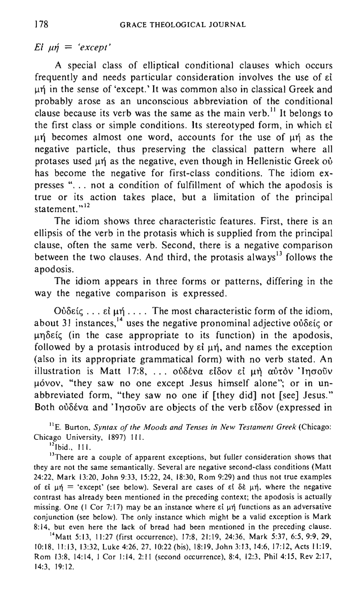$Ei \mu \eta = 'except'$ 

A special class of elliptical conditional clauses which occurs frequently and needs particular consideration involves the use of Ei  $\mu$ n in the sense of 'except.' It was common also in classical Greek and probably arose as an unconscious abbreviation of the conditional clause because its verb was the same as the main verb.<sup>11</sup> It belongs to the first class or simple conditions. Its stereotyped form, in which Ei  $\mu$ n becomes almost one word, accounts for the use of  $\mu$ n as the negative particle, thus preserving the classical pattern where all protases used  $\mu$ n as the negative, even though in Hellenistic Greek ov has become the negative for first-class conditions. The idiom expresses "... not a condition of fulfillment of which the apodosis is true or its action takes place, but a limitation of the principal statement."<sup>12</sup>

The idiom shows three characteristic features. First, there is an ellipsis of the verb in the protasis which is supplied from the principal clause. often the same verb. Second, there is a negative comparison between the two clauses. And third, the protasis always<sup>13</sup> follows the apodosis.

The idiom appears in three forms or patterns, differing in the way the negative comparison is expressed.

 $O\delta\delta\epsilon$ ic ...  $\epsilon$ i  $\mu$ n .... The most characteristic form of the idiom, about 31 instances,<sup>14</sup> uses the negative pronominal adjective  $\omega \delta \epsilon$ ic or  $\mu$ n $\delta$ είς (in the case appropriate to its function) in the apodosis, followed by a protasis introduced by  $\epsilon i$   $\mu \eta$ , and names the exception (also in its appropriate grammatical form) with no verb stated. An illustration is Matt 17:8, ...  $o\delta\delta\epsilon v\alpha$  είδον εί μή αύτον 'Inσοῦν  $\mu$ óvov, "they saw no one except Jesus himself alone"; or in unabbreviated form, "they saw no one if [they did] not [see] Jesus." Both  $o\delta\delta\acute{e}$  and 'Ingout are objects of the verb  $\epsilon\delta\delta o\prime$  (expressed in

<sup>11</sup>E. Burton, *Syntax of the Moods and Tenses in New Testament Greek* (Chicago: Chicago University, 1897) 111.

 $^{12}$  Ibid., 111.

<sup>13</sup>There are a couple of apparent exceptions, but fuller consideration shows that they are not the same semantically. Several are negative second-class conditions (Matt 24:22, Mark 13:20, John 9:33, 15:22, 24, 18:30, Rom 9:29) and thus not true examples of  $\epsilon i$   $\mu \eta$  = 'except' (see below). Several are cases of  $\epsilon i$   $\delta \epsilon$   $\mu \eta$ , where the negative contrast has already been mentioned in the preceding context; the apodosis is actually missing. One (1 Cor 7:17) may be an instance where  $\varepsilon i$   $\mu$ n functions as an adversative conjunction (see below). The only instance which might be a valid exception is Mark 8: 14, but even here the lack of bread had been mentioned in the preceding clause.

<sup>14</sup> Matt 5:13, 11:27 (first occurrence), 17:8,21:19,24:36, Mark 5:37, 6:5,9:9,29, 10:18,11:13,13:32, Luke 4:26,27,10:22 (bis), 18:19, John 3:13,14:6,17:12, Acts 11:19, Rom 13:8, 14:14, I Cor 1:14, 2:1 I (second occurrence), 8:4, 12:3, Phil 4:15, Rev 2:17, 14:3, 19:12.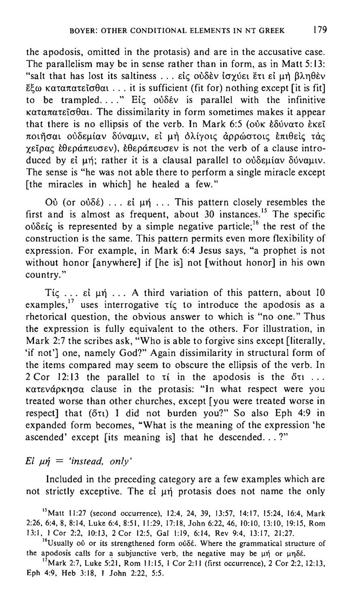the apodosis, omitted in the protasis) and are in the accusative case. The parallelism may be in sense rather than in form, as in Matt 5:13: "salt that has lost its saltiness ... είς ούδεν ισχύει έτι εί μη βληθεν  $\epsilon$ ζω καταπατεῖσθαι ... it is sufficient (fit for) nothing except [it is fit] to be trampled...." Eic  $o\delta\delta\epsilon v$  is parallel with the infinitive  $\kappa$ ata $\pi$ atei $\sigma$ θat. The dissimilarity in form sometimes makes it appear that there is no ellipsis of the verb. In Mark 6:5 (où k  $\delta$  bvato  $\delta$  k  $\epsilon$ ποιήσαι ούδεμίαν δύναμιν, εί μή όλίγοις άρρώστοις έπιθείς τάς  $\gamma \varepsilon \tilde{\mu}$  the  $\alpha \varepsilon$  the particle is not the verb of a clause introduced by et  $\mu$ n; rather it is a clausal parallel to  $\omega \delta \epsilon \mu i \alpha v$  δύναμιν. The sense is "he was not able there to perform a single miracle except [the miracles in which] he healed a few."

Oὐ (or  $o$ ὐδέ) ... εἰ μή ... This pattern closely resembles the first and is almost as frequent, about 30 instances.<sup>15</sup> The specific  $o$ ύδείς is represented by a simple negative particle;<sup>16</sup> the rest of the construction is the same. This pattern permits even more flexibility of expression. For example, in Mark 6:4 Jesus says, "a prophet is not without honor [anywhere] if [he is] not [without honor] in his own country."

Ti $\zeta$  ...  $\varepsilon i$   $\mu \eta$  ... A third variation of this pattern, about 10 examples,<sup>17</sup> uses interrogative tic to introduce the apodosis as a rhetorical question, the obvious answer to which is "no one." Thus the expression is fully equivalent to the others. For illustration, in Mark 2:7 the scribes ask, "Who is able to forgive sins except [literally, 'if not'] one, namely God?" Again dissimilarity in structural form of the items compared may seem to obscure the ellipsis of the verb. In  $2$  Cor 12:13 the parallel to  $\tau i$  in the apodosis is the  $\delta \tau i$  ... κατενάρκησα clause in the protasis: "In what respect were you treated worse than other churches, except [you were treated worse in respectl that (öti) I did not burden you?" So also Eph 4:9 in expanded form becomes, "What is the meaning of the expression 'he ascended' except [its meaning is] that he descended...?"

*Ei*  $\mu \eta$  = 'instead, only'

Included in the preceding category are a few examples which are not strictly exceptive. The  $\epsilon i$   $\mu \eta$  protasis does not name the only

<sup>15</sup> Matt 11:27 (second occurrence), 12:4, 24, 39, 13:57, 14:17, 15:24, 16:4, Mark 2:26,6:4,8,8:14, Luke 6:4, 8:51, 11:29, 17:18, John 6:22, 46, 10:10, 13:10, 19:15, Rom 13:1, I Cor 2:2, 10:13, 2 Cor 12:5, Gal 1:19, 6:14, Rev 9:4, 13:17, 21:27.

<sup>16</sup>Usually ou or its strengthened form ou\otiongletic the grammatical structure of 2:26, 6:4, 8, 8:14, Luke 6:4, 8:5<br>13:1, 1 Cor 2:2, 10:13, 2 Cor<br><sup>16</sup>Usually ob or its streng<br>the apodosis calls for a subj<br><sup>17</sup>Mark 2:7, Luke 5:21, Ro apodosis calls for a subjunctive verb, the negative may be  $\mu$ n or  $\mu$ n $\delta \dot{\epsilon}$ .

<sup>17</sup> Mark 2:7, Luke 5:21, Rom 11:15, 1 Cor 2:11 (first occurrence), 2 Cor 2:2, 12:13, Eph 4:9, Heb 3:18, I John 2:22, 5:5.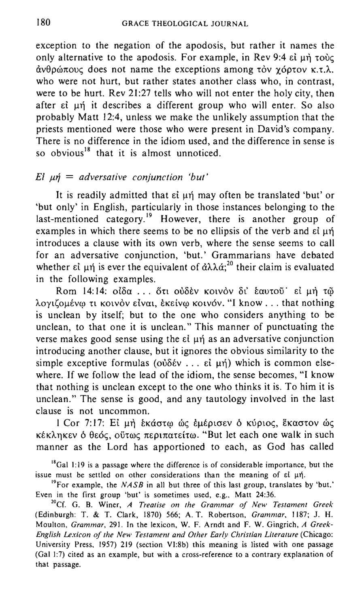exception to the negation of the apodosis, but rather it names the only alternative to the apodosis. For example, in Rev 9:4  $\varepsilon i$   $\mu \dot{\eta}$  to  $\dot{\theta}$ άνθρώπους does not name the exceptions among τὸν χόρτον κ.τ.λ. who were not hurt, but rather states another class who, in contrast, were to be hurt. Rev 21:27 tells who will not enter the holy city, then after ei µn it describes a different group who will enter. So also probably Matt 12:4, unless we make the unlikely assumption that the priests mentioned were those who were present in David's company. There is no difference in the idiom used, and the difference in sense is so obvious<sup>18</sup> that it is almost unnoticed.

## $Ei \mu \eta = adversative$  *conjunction 'but'*

It is readily admitted that  $\epsilon i \mu \eta$  may often be translated 'but' or 'but only' in English, particularly in those instances belonging to the last-mentioned category.<sup>19</sup> However, there is another group of examples in which there seems to be no ellipsis of the verb and  $\epsilon i \mu \eta$ introduces a clause with its own verb, where the sense seems to call for an adversative conjunction, 'but.' Grammarians have debated whether  $\varepsilon i$  µ $\eta$  is ever the equivalent of  $\partial \lambda \lambda \dot{\alpha}$ ;<sup>20</sup> their claim is evaluated in the following examples.

Rom 14:14: olδα ... ότι ούδεν κοινόν δι' εαυτού εί μή τώ λογιζομένω τι κοινόν είναι, εκείνω κοινόν. "I know ... that nothing is unclean by itself; but to the one who considers anything to be unclean, to that one it is unclean." This manner of punctuating the verse makes good sense using the  $\epsilon i$   $\mu$  as an adversative conjunction introducing another clause, but it ignores the obvious similarity to the simple exceptive formulas ( $\omega\delta\acute{\epsilon}v$ ...  $\epsilon\acute{\iota}$  µή) which is common elsewhere. If we follow the lead of the idiom, the sense becomes, "I know that nothing is unclean except to the one who thinks it is. To him it is unclean." The sense is good, and any tautology involved in the last clause is not uncommon.

I Cor 7:17: Εἰ μὴ ἑκάστω ὡς ἐμέρισεν ὁ κύριος, ἕκαστον ὡς κέκληκεν ό θεός, οὕτως περιπατείτω. "But let each one walk in such manner as the Lord has apportioned to each, as God has called

 $<sup>18</sup>Gal 1:19$  is a passage where the difference is of considerable importance, but the</sup> issue must be settled on other considerations than the meaning of  $\varepsilon\ell$  µή.

<sup>19</sup> For example, the *NASB* in all but three of this last group, translates by 'but.' Even in the first group 'but' is sometimes used, e.g., Matt 24:36.

20Cf. G. B. Winer, *A Treatise on the Grammar of New Testament Greek*  (Edinburgh: T. & T. Clark, 1870) 566; A. T. Robertson, *Grammar,* 1187; J. H. Moulton, *Grammar,* 291. In the lexicon, W. F. Arndt and F. W. Gingrich, *A Greek-English Lexicon of the New Testament and Other Early Christian Literature* (Chicago: University Press, 1957) 219 (section VI:8b) this meaning is listed with one passage (Gal 1:7) cited as an example, but with a cross-reference to a contrary explanation of that passage.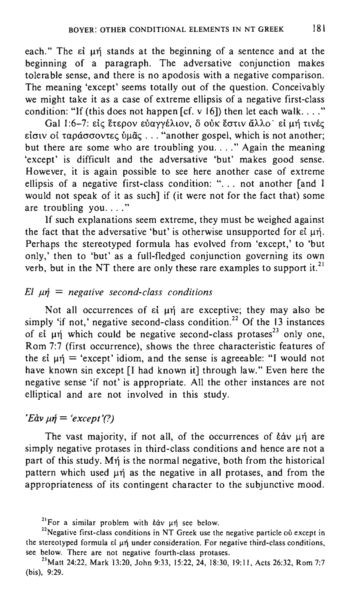each." The  $\varepsilon i$   $\mu \eta$  stands at the beginning of a sentence and at the beginning of a paragraph. The adversative conjunction makes tolerable sense, and there is no apodosis with a negative comparison. The meaning 'except' seems totally out of the question. Conceivably we might take it as a case of extreme ellipsis of a negative first-class condition: "If (this does not happen [cf. v  $\overline{16}$ ]) then let each walk...."

Gal 1:6-7: είς έτερον εύαγγέλιον, δ ούκ έστιν άλλο· εί μή τινές  $\epsilon$ iotv oi  $\tau$ αράσσοντες ύμᾶς ... "another gospel, which is not another; but there are some who are troubling you...." Again the meaning 'except' is difficult and the adversative 'but' makes good sense. However, it is again possible to see here another case of extreme ellipsis of a negative first-class condition: " $\ldots$  not another [and I] would not speak of it as such] if (it were not for the fact that) some are troubling you...."

If such explanations seem extreme, they must be weighed against the fact that the adversative 'but' is otherwise unsupported for  $\epsilon i$   $\mu \eta$ . Perhaps the stereotyped formula has evolved from 'except,' to 'but only,' then to 'but' as a full-fledged conjunction governing its own verb, but in the NT there are only these rare examples to support it.<sup>21</sup>

# $Ei \mu \eta$  = *negative second-class conditions*

Not all occurrences of  $\varepsilon i$   $\mu \eta$  are exceptive; they may also be simply 'if not,' negative second-class condition.<sup>22</sup> Of the 13 instances of  $\epsilon i$   $\mu \eta$  which could be negative second-class protases<sup>23</sup> only one, Rom 7:7 (first occurrence), shows the three characteristic features of the  $\epsilon i$   $\mu \eta$  = 'except' idiom, and the sense is agreeable: "I would not have known sin except **[I** had known it] through law." Even here the negative sense 'if not' is appropriate. All the other instances are not elliptical and are not involved in this study.

# $'E$ *àv*  $\mu \eta = 'except'$  (?)

The vast majority, if not all, of the occurrences of  $\dot{\epsilon}$  av  $\mu$ n are simply negative protases in third-class conditions and hence are not a part of this study. Mn is the normal negative, both from the historical pattern which used  $\mu$ n as the negative in all protases, and from the appropriateness of its contingent character to the subjunctive mood.

<sup>&</sup>lt;sup>21</sup> For a similar problem with  $\frac{\partial u}{\partial x}$  un see below.

 $22$ Negative first-class conditions in NT Greek use the negative particle ou except in the stereotyped formula  $\epsilon i \mu \eta$  under consideration. For negative third-class conditions, see below. There are not negative fourth-class protases.

<sup>&</sup>lt;sup>23</sup> Matt 24:22, Mark 13:20, John 9:33, 15:22, 24, 18:30, 19:11, Acts 26:32, Rom 7:7 (bis), 9:29.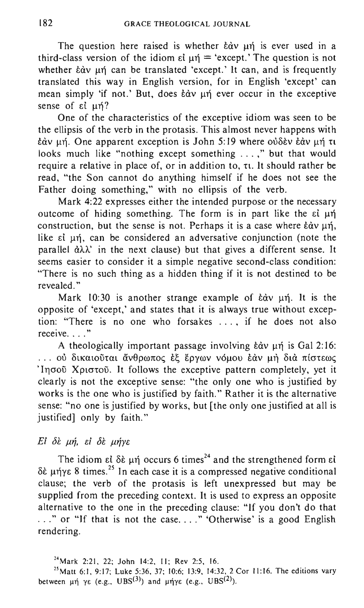The question here raised is whether  $\frac{\partial \alpha}{\partial y}$  and  $\frac{\partial \alpha}{\partial x}$  is ever used in a third-class version of the idiom  $\epsilon \tilde{l} \mu \tilde{\eta} =$  'except.' The question is not whether  $\frac{1}{2}$  and  $\frac{1}{2}$  can be translated 'except.' It can, and is frequently translated this way in English version, for in English 'except' can mean simply 'if not.' But, does *E* av un ever occur in the exceptive sense of  $\epsilon i$   $\mu$ n?

One of the characteristics of the exceptive idiom was seen to be the ellipsis of the verb in the protasis. This almost never happens with  $\frac{\partial^2 u}{\partial x^2}$  (One apparent exception is John 5:19 where  $\frac{\partial^2 u}{\partial x \partial y}$   $\frac{\partial^2 u}{\partial y \partial x}$   $\frac{\partial^2 u}{\partial y \partial y}$ looks much like "nothing except something ... ," but that would require a relative in place of, or in addition to,  $\tau$ . It should rather be read, "the Son cannot do anything himself if he does not see the Father doing something," with no ellipsis of the verb.

Mark 4:22 expresses either the intended purpose or the necessary outcome of hiding something. The form is in part like the  $\varepsilon i$   $\mu \eta$ construction, but the sense is not. Perhaps it is a case where  $\frac{\partial u}{\partial y}$   $\mu \eta$ , like  $\epsilon i$   $\mu$ n, can be considered an adversative conjunction (note the parallel  $\partial \lambda \lambda$  in the next clause) but that gives a different sense. It seems easier to consider it a simple negative second-class condition: "There is no such thing as a hidden thing if it is not destined to be revealed. "

Mark 10:30 is another strange example of  $\dot{\epsilon}$  av  $\mu$ n. It is the opposite of 'except,' and states that it is always true without exception: "There is no one who forsakes ... , if he does not also receive ..."

A theologically important passage involving  $\frac{\partial \alpha}{\partial x}$   $\mu \eta$  is Gal 2:16: ... ού δικαιούται άνθρωπος εξ έργων νόμου εάν μή διά πίστεως 'Iησοῦ Χριστοῦ. It follows the exceptive pattern completely, yet it clearly is not the exceptive sense: "the only one who is justified by works is the one who is justified by faith." Rather it is the alternative sense: "no one is justified by works, but [the only one justified at all is justified] only by faith."

# *Ei δε μή, εί δε μήγε*

The idiom  $\epsilon$   $\delta \epsilon$   $\mu$ n occurs 6 times<sup>24</sup> and the strengthened form  $\epsilon$ δε μήγε 8 times.<sup>25</sup> In each case it is a compressed negative conditional clause; the verb of the protasis is left unexpressed but may be supplied from the preceding context. It is used to express an opposite alternative to the one in the preceding clause: "If you don't do that ..." or "If that is not the case...." 'Otherwise' is a good English rendering.

<sup>25</sup> Matt 6:1, 9:17; Luke 5:36, 37; 10:6; 13:9, 14:32, 2 Cor 11:16. The editions vary between  $\mu$ n  $\gamma \varepsilon$  (e.g., UBS<sup>(3)</sup>) and  $\mu$ n $\gamma \varepsilon$  (e.g., UBS<sup>(2)</sup>).

<sup>24</sup>Mark 2:21, 22; John 14:2, II; Rev 2:5, 16.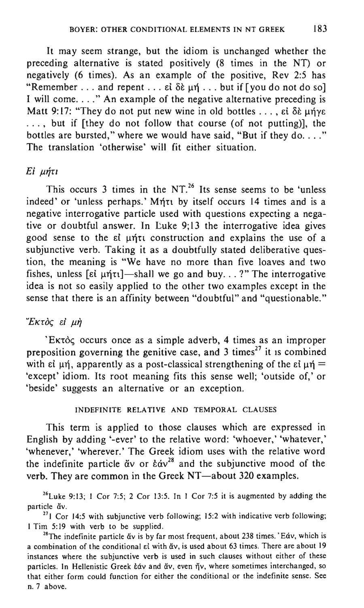It may seem strange, but the idiom is unchanged whether the preceding alternative is stated positively (8 times in the NT) or negatively (6 times). As an example of the positive, Rev 2:5 has "Remember ... and repent ...  $\epsilon \tilde{i} \delta \tilde{\epsilon}$   $\mu \tilde{\eta}$  ... but if [you do not do so] I will come.  $\ldots$ " An example of the negative alternative preceding is Matt 9:17: "They do not put new wine in old bottles ...,  $\varepsilon i \delta \varepsilon$  unyse ..., but if [they do not follow that course (of not putting)], the bottles are bursted," where we would have said, "But if they do...." The translation 'otherwise' will fit either situation.

## Ei unti

This occurs  $3$  times in the NT.<sup>26</sup> Its sense seems to be 'unless indeed' or 'unless perhaps.' Mnt by itself occurs 14 times and is a negative interrogative particle used with questions expecting a negative or doubtful answer. In Luke  $9:13$  the interrogative idea gives good sense to the *El* µnti construction and explains the use of a subjunctive verb. Taking it as a doubtfully stated deliberative question, the meaning is "We have no more than five loaves and two fishes, unless  $\lceil \varepsilon \iota \rceil$   $\mu$   $\eta \tau \iota$ ] -shall we go and buy. . .?" The interrogative idea is not so easily applied to the other two examples except in the sense that there is an affinity between "doubtful" and "questionable."

## "Εκτός εί μή

'Ektô $\zeta$  occurs once as a simple adverb, 4 times as an improper preposition governing the genitive case, and  $3 \times 2^7$  it is combined with  $\epsilon i$   $\mu$ n, apparently as a post-classical strengthening of the  $\epsilon i \mu n =$ 'except' idiom. Its root meaning fits this sense well; 'outside of,' or 'beside' suggests an alternative or an exception.

## INDEFINITE RELATIVE AND TEMPORAL CLAUSES

This term is applied to those clauses which are expressed in English by adding '-ever' to the relative word: 'whoever,' 'whatever,' 'whenever,' 'wherever.' The Greek idiom uses with the relative word the indefinite particle  $\check{a}v$  or  $\check{e}\check{a}v^{28}$  and the subjunctive mood of the verb. They are common in the Greek NT-about 320 examples.

 $26$ Luke 9:13; 1 Cor 7:5; 2 Cor 13:5. In 1 Cor 7:5 it is augmented by adding the particle av.

 $271$  Cor 14:5 with subjunctive verb following; 15:2 with indicative verb following; I Tim 5: 19 with verb to be supplied.

<sup>28</sup>The indefinite particle  $\ddot{\alpha}v$  is by far most frequent, about 238 times. 'E $\dot{\alpha}v$ , which is a combination of the conditional  $\varepsilon$  with  $\check{\alpha}$ , is used about 63 times. There are about 19 instances where the subjunctive verb is used in such clauses without either of these particles. In Hellenistic Greek *Eáv* and av, even nv, where sometimes interchanged, so that either form could function for either the conditional or the indefinite sense. See n.7 above.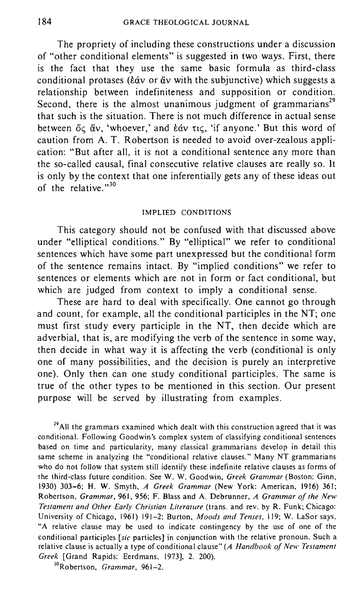The propriety of including these constructions under a discussion of "other conditional elements" is suggested in two ways. First, there is the fact that they use the same basic formula as third-class conditional protases ( $\epsilon \dot{\alpha} v$  or  $\dot{\alpha} v$  with the subjunctive) which suggests a relationship between indefiniteness and supposition or condition. Second, there is the almost unanimous judgment of grammarians<sup>29</sup> that such is the situation. There is not much difference in actual sense between  $\delta \zeta$   $\alpha v$ , 'whoever,' and  $\delta \alpha v$  tic, 'if anyone.' But this word of caution from A. T. Robertson is needed to avoid over-zealous application: "But after all, it is not a conditional sentence any more than the so-called causal, final consecutive relative clauses are really so. It is only by the context that one inferentially gets any of these ideas out of the relative." $30$ 

#### IMPLIED CONDITIONS

This category should not be confused with that discussed above under "elliptical conditions." By "elliptical" we refer to conditional sentences which have some part unexpressed but the conditional form of the sentence remains intact. By "implied conditions" we refer to sentences or elements which are not in form or fact conditional, but which are judged from context to imply a conditional sense.

These are hard to deal with specifically. One cannot go through and count, for example, all the conditional participles in the NT; one must first study every participle in the NT, then decide which are adverbial, that is, are modifying the verb of the sentence in some way, then decide in what way it is affecting the verb (conditional is only one of many possibilities, and the decision is purely an interpretive one). Only then can one study conditional participles. The same is true of the other types to be mentioned in this section. Our present purpose will be served by illustrating from examples.

<sup>29</sup> All the grammars examined which dealt with this construction agreed that it was conditional. Following Goodwin's complex system of classifying conditional sentences based on time and particularity, many classical grammarians develop in detail this same scheme in analyzing the "conditional relative clauses." Many NT grammarians who do not follow that system still identify these indefinite relative clauses as forms of the third-class future condition. See W. W. Goodwin, *Greek Grammar* (Boston: Ginn, 1930) 303-6; H. W. Smyth, *A Greek Grammar* (New York: American, 1916) 361; Robertson, *Grammar,* 961,956; F. Blass and A. Debrunner, *A Grammar of the New Testament and Other Early Christian Literature* (trans. and rev. by R. Funk; Chicago: University of Chicago, 1961) 191-2; Burton, *Moods and Tenses,* 119; W. LaSor says, "A relative clause may be used to indicate contingency by the use of one of the conditional participles *[sic* particles] in conjunction with the relative pronoun. Such a relative clause is actually a type of conditional clause" *(A Handbook of New Testament Greek* [Grand Rapids: Eerdmans. 1973]. 2. 200).

30Robertson, *Grammar, 961-2.*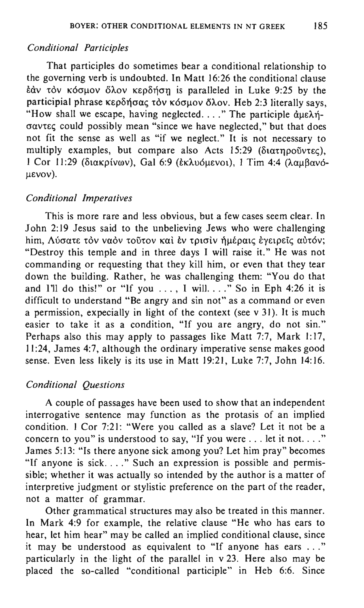### *Conditional Participles*

That participles do sometimes bear a conditional relationship to the governing verb is undoubted. In Matt 16:26 the conditional clause  $\dot{\epsilon}$   $\dot{\alpha}$   $\nu$   $\dot{\alpha}$   $\nu$   $\dot{\alpha}$   $\dot{\alpha}$   $\dot{\alpha}$   $\dot{\alpha}$   $\dot{\alpha}$   $\dot{\alpha}$   $\dot{\alpha}$   $\dot{\alpha}$   $\dot{\alpha}$   $\dot{\alpha}$   $\dot{\alpha}$   $\dot{\alpha}$   $\dot{\alpha}$   $\dot{\alpha}$   $\dot{\alpha}$   $\dot{\alpha}$   $\dot{\alpha}$   $\dot{\alpha}$   $\dot{\alpha}$   $\dot{\alpha}$   $\dot{\alpha}$   $\dot{\alpha}$   $\dot{\alpha}$   $\dot$ participial phrase κερδήσας τον κόσμον όλον. Heb 2:3 literally says, "How shall we escape, having neglected...." The participle due  $\lambda n$ - $\sigma$ avte $\varsigma$  could possibly mean "since we have neglected," but that does not fit the sense as well as "if we neglect." It is not necessary to multiply examples, but compare also Acts 15:29 ( $\delta$ ιατηροῦντες),  $I$  Cor 11:29 (διακρίνων), Gal 6:9 (εκλυόμενοι), 1 Tim 4:4 (λαμβανό-JlEVOV).

## *Conditional Imperatives*

This is more rare and less obvious, but a few cases seem clear. In John 2:19 Jesus said to the unbelieving Jews who were challenging him, Λύσατε τον ναον τοῦτον και εν τρισιν ήμέραις εγειρεῖς αὐτόν; "Destroy this temple and in three days I will raise it." He was not commanding or requesting that they kill him, or even that they tear down the building. Rather, he was challenging them: "You do that and 1'll do this!" or "If you  $\dots$ , I will  $\dots$ ." So in Eph 4:26 it is difficult to understand "Be angry and sin not" as a command or even a permission, expecially in light of the context (see v 31). It is much easier to take it as a condition, "If you are angry, do not sin." Perhaps also this may apply to passages like Matt 7:7, Mark 1:17, II :24, James 4:7, although the ordinary imperative sense makes good sense. Even less likely is its use in Matt 19:21, Luke 7:7, John 14:16.

## *Conditional Questions*

A couple of passages have been used to show that an independent interrogative sentence may function as the protasis of an implied condition. I Cor 7:21: "Were you called as a slave? Let it not be a concern to you" is understood to say, "If you were ... let it not...." James 5: 13: "Is there anyone sick among you? Let him pray" becomes "If anyone is sick .... " Such an expression is possible and permissible; whether it was actually so intended by the author is a matter of interpretive judgment or stylistic preference on the part of the reader, not a matter of grammar.

Other grammatical structures may also be treated in this manner. In Mark 4:9 for example, the relative clause "He who has ears to hear, let him hear" may be called an implied conditional clause, since it may be understood as equivalent to "If anyone has ears ... " particularly in the light of the parallel in  $v$  23. Here also may be placed the so-called "conditional participle" in Heb 6:6. Since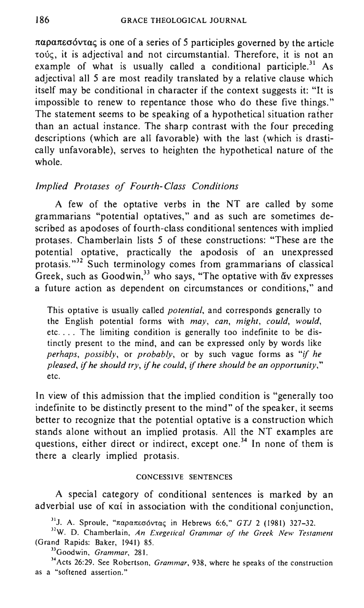$\pi\alpha\rho\alpha\pi\epsilon\sigma\zeta$  is one of a series of 5 participles governed by the article  $\tau o$  it is adjectival and not circumstantial. Therefore, it is not an example of what is usually called a conditional participle.<sup>31</sup> As adjectival all 5 are most readily translated by a relative clause which itself may be conditional in character if the context suggests it: "It is impossible to renew to repentance those who do these five things." The statement seems to be speaking of a hypothetical situation rather than an actual instance. The sharp contrast with the four preceding descriptions (which are all favorable) with the last (which is drastically unfavorable), serves to heighten the hypothetical nature of the whole.

## *Implied Protases of Fourth- Class Conditions*

A few of the optative verbs in the NT are called by some grammarians "potential optatives," and as such are sometimes described as apodoses of fourth-class conditional sentences with implied protases. Chamberlain lists 5 of these constructions: "These are the potential optative, practically the apodosis of an unexpressed protasis."<sup>32</sup> Such terminology comes from grammarians of classical Greek, such as Goodwin,<sup>33</sup> who says, "The optative with  $\tilde{a}v$  expresses a future action as dependent on circumstances or conditions," and

This optative is usually called *potential,* and corresponds generally to the English potential forms with *may, can, might, could, would,*  etc.... The limiting condition is generally too indefinite to be distinctly present to the mind, and can be expressed only by words like *perhaps, possibly,* or *probably,* or by such vague forms as "if *he pleased,* if *he should try,* if *he could,* if *there should be an opportunity,"*  etc.

**In** view of this admission that the implied condition is "generally too indefinite to be distinctly present to the mind" of the speaker, it seems better to recognize that the potential optative is a construction which stands alone without an implied protasis. All the NT examples are questions, either direct or indirect, except one.<sup>34</sup>**In** none of them is there a clearly implied protasis.

#### CONCESSIVE SENTENCES

A special category of conditional sentences is marked by an adverbial use of  $\kappa\alpha i$  in association with the conditional conjunction,

<sup>31</sup>J. A. Sproule, "παραπεσόντας in Hebrews 6:6," *GTJ* 2 (1981) 327-32.

32W. D. Chamberlain, *An Exegetical Grammar of the Greek New Testament*  (Grand Rapids: Baker, 1941) 85.

33Goodwin, *Grammar, 281.* 

34Acts 26:29. See Robertson, *Grammar,* 938, where he speaks of the construction as a "softened assertion."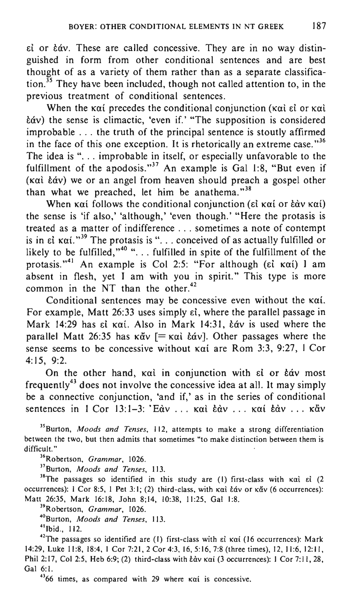$\epsilon$  or  $\epsilon$   $\alpha$ . These are called concessive. They are in no way distinguished in form from other conditional sentences and are best thought of as a variety of them rather than as a separate classification.<sup>35</sup> They have been included, though not called attention to, in the previous treatment of conditional sentences.

When the  $k\alpha i$  precedes the conditional conjunction ( $k\alpha i$  at or  $k\alpha i$ )  $\dot{\epsilon}$  av) the sense is climactic, 'even if.' "The supposition is considered improbable ... the truth of the principal sentence is stoutly affirmed in the face of this one exception. It is rhetorically an extreme case." $36$ The idea is "... improbable in itself, or especially unfavorable to the fulfillment of the apodosis."<sup>37</sup> An example is Gal 1:8, "But even if  $(x\alpha i \, \dot{\varepsilon} \dot{\alpha} v)$  we or an angel from heaven should preach a gospel other than what we preached, let him be anathema." $38$ 

When  $k\alpha i$  follows the conditional conjunction ( $\epsilon i \kappa \alpha i$  or  $\dot{\epsilon} \dot{\alpha} v \kappa \alpha i$ ) the sense is 'if also,' 'although,' 'even though.' "Here the protasis is treated as a matter of indifference ... sometimes a note of contempt is in  $\epsilon$  kai."<sup>39</sup> The protasis is "... conceived of as actually fulfilled or likely to be fulfilled,  $140$  "... fulfilled in spite of the fulfillment of the protasis."<sup>41</sup> An example is Col 2:5: "For although ( $\epsilon i$   $\kappa \alpha i$ ) I am absent in flesh, yet I am with you in spirit." This type is more common in the NT than the other.<sup>42</sup>

Conditional sentences may be concessive even without the Kai. For example, Matt  $26:33$  uses simply  $\varepsilon i$ , where the parallel passage in Mark 14:29 has  $\epsilon i$  kai. Also in Mark 14:31,  $\dot{\epsilon}$  av is used where the parallel Matt 26:35 has  $K\alpha V$  [=  $K\alpha i \hat{\alpha} V$ ]. Other passages where the sense seems to be concessive without  $x\alpha i$  are Rom 3:3, 9:27, 1 Cor 4:15, 9:2.

On the other hand,  $k\alpha i$  in conjunction with  $\epsilon i$  or  $\dot{\epsilon}\dot{\alpha}v$  most frequently<sup>43</sup> does not involve the concessive idea at all. It may simply be a connective conjunction, 'and if,' as in the series of conditional sentences in 1 Cor 13:1-3: 'Eàv ... καὶ ἐàv ... καί ἐàv ... κἃν

<sup>35</sup>Burton, *Moods and Tenses*, 112, attempts to make a strong differentiation between the two, but then admits that sometimes "to make distinction between them is difficult."

36Robertson, *Grammar, 1026.* 

37Burton, *Moods and Tenses, 113.* 

 $38$ The passages so identified in this study are (1) first-class with  $\kappa\alpha i$  el (2) occurrences): 1 Cor 8:5, 1 Pet 3:1; (2) third-class, with  $\kappa \alpha i \dot{\kappa} \dot{\alpha} v$  or  $\kappa \dot{\alpha} v$  (6 occurrences): Matt 26:35, Mark 16:18, John 8;14, 10:38, 11:25, Gal 1:8.

39Robertson, *Grammar, 1026.* 

4°Burton, *Moods and Tenses, 113.* 

 $41$ Ibid., 112.

<sup>42</sup>The passages so identified are (1) first-class with  $\epsilon i$  Kai (16 occurrences): Mark 14:29, Luke 11:8, 18:4, 1 Cor 7:21, 2 Cor 4:3,16,5:16,7:8 (three times), 12, 11:6, 12:11, Phil 2:17, Col 2:5, Heb 6:9; (2) third-class with  $\frac{2}{3}$  (3 occurrences): 1 Cor 7:11, 28, Gal 6:1.

 $4366$  times, as compared with 29 where  $\kappa \alpha i$  is concessive.